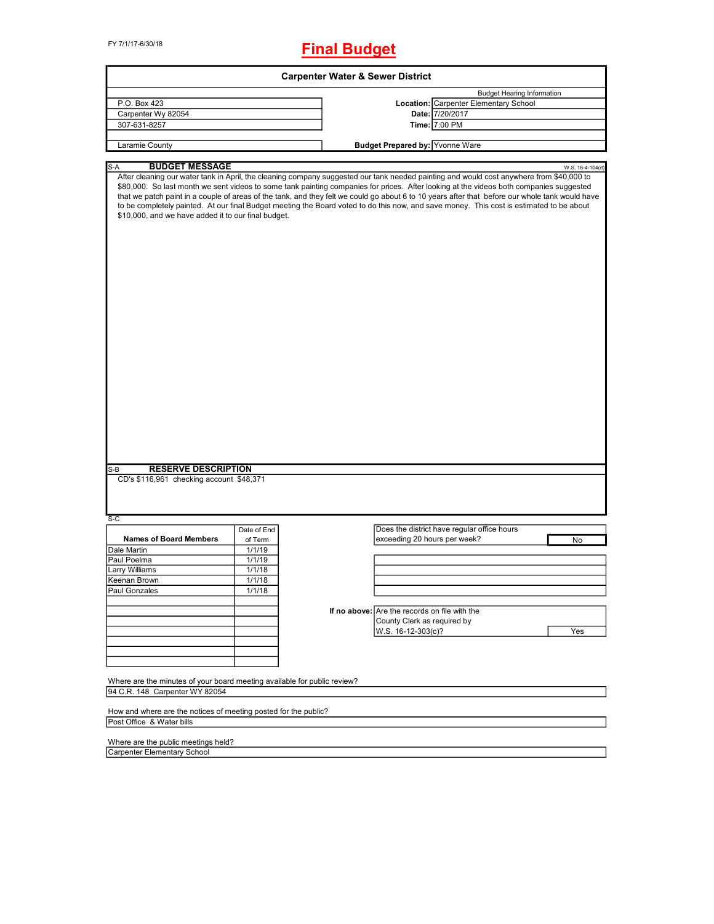# **Final Budget**

| <b>Carpenter Water &amp; Sewer District</b>                                                                                                                                                                                                                                                                                                                                                                                                                                                                                                                                                                                               |             |  |                                               |                                             |                  |  |
|-------------------------------------------------------------------------------------------------------------------------------------------------------------------------------------------------------------------------------------------------------------------------------------------------------------------------------------------------------------------------------------------------------------------------------------------------------------------------------------------------------------------------------------------------------------------------------------------------------------------------------------------|-------------|--|-----------------------------------------------|---------------------------------------------|------------------|--|
|                                                                                                                                                                                                                                                                                                                                                                                                                                                                                                                                                                                                                                           |             |  |                                               | <b>Budget Hearing Information</b>           |                  |  |
| P.O. Box 423                                                                                                                                                                                                                                                                                                                                                                                                                                                                                                                                                                                                                              |             |  |                                               | Location: Carpenter Elementary School       |                  |  |
| Carpenter Wy 82054                                                                                                                                                                                                                                                                                                                                                                                                                                                                                                                                                                                                                        |             |  |                                               | Date: 7/20/2017                             |                  |  |
| 307-631-8257                                                                                                                                                                                                                                                                                                                                                                                                                                                                                                                                                                                                                              |             |  |                                               | Time: 7:00 PM                               |                  |  |
| Laramie County                                                                                                                                                                                                                                                                                                                                                                                                                                                                                                                                                                                                                            |             |  | <b>Budget Prepared by: Yvonne Ware</b>        |                                             |                  |  |
|                                                                                                                                                                                                                                                                                                                                                                                                                                                                                                                                                                                                                                           |             |  |                                               |                                             |                  |  |
| <b>BUDGET MESSAGE</b><br>S-A                                                                                                                                                                                                                                                                                                                                                                                                                                                                                                                                                                                                              |             |  |                                               |                                             | W.S. 16-4-104(d) |  |
| After cleaning our water tank in April, the cleaning company suggested our tank needed painting and would cost anywhere from \$40,000 to<br>\$80,000. So last month we sent videos to some tank painting companies for prices. After looking at the videos both companies suggested<br>that we patch paint in a couple of areas of the tank, and they felt we could go about 6 to 10 years after that before our whole tank would have<br>to be completely painted. At our final Budget meeting the Board voted to do this now, and save money. This cost is estimated to be about<br>\$10,000, and we have added it to our final budget. |             |  |                                               |                                             |                  |  |
|                                                                                                                                                                                                                                                                                                                                                                                                                                                                                                                                                                                                                                           |             |  |                                               |                                             |                  |  |
| <b>RESERVE DESCRIPTION</b><br>$S-B$<br>CD's \$116,961 checking account \$48,371<br>S-C                                                                                                                                                                                                                                                                                                                                                                                                                                                                                                                                                    |             |  |                                               |                                             |                  |  |
|                                                                                                                                                                                                                                                                                                                                                                                                                                                                                                                                                                                                                                           | Date of End |  |                                               | Does the district have regular office hours |                  |  |
| <b>Names of Board Members</b>                                                                                                                                                                                                                                                                                                                                                                                                                                                                                                                                                                                                             | of Term     |  | exceeding 20 hours per week?                  |                                             | No               |  |
| Dale Martin                                                                                                                                                                                                                                                                                                                                                                                                                                                                                                                                                                                                                               | 1/1/19      |  |                                               |                                             |                  |  |
| Paul Poelma                                                                                                                                                                                                                                                                                                                                                                                                                                                                                                                                                                                                                               | 1/1/19      |  |                                               |                                             |                  |  |
| Larry Williams                                                                                                                                                                                                                                                                                                                                                                                                                                                                                                                                                                                                                            | 1/1/18      |  |                                               |                                             |                  |  |
| Keenan Brown                                                                                                                                                                                                                                                                                                                                                                                                                                                                                                                                                                                                                              | 1/1/18      |  |                                               |                                             |                  |  |
| Paul Gonzales                                                                                                                                                                                                                                                                                                                                                                                                                                                                                                                                                                                                                             | 1/1/18      |  |                                               |                                             |                  |  |
|                                                                                                                                                                                                                                                                                                                                                                                                                                                                                                                                                                                                                                           |             |  |                                               |                                             |                  |  |
|                                                                                                                                                                                                                                                                                                                                                                                                                                                                                                                                                                                                                                           |             |  | If no above: Are the records on file with the |                                             |                  |  |
|                                                                                                                                                                                                                                                                                                                                                                                                                                                                                                                                                                                                                                           |             |  | County Clerk as required by                   |                                             |                  |  |
|                                                                                                                                                                                                                                                                                                                                                                                                                                                                                                                                                                                                                                           |             |  | W.S. 16-12-303(c)?                            |                                             | Yes              |  |
|                                                                                                                                                                                                                                                                                                                                                                                                                                                                                                                                                                                                                                           |             |  |                                               |                                             |                  |  |
|                                                                                                                                                                                                                                                                                                                                                                                                                                                                                                                                                                                                                                           |             |  |                                               |                                             |                  |  |
|                                                                                                                                                                                                                                                                                                                                                                                                                                                                                                                                                                                                                                           |             |  |                                               |                                             |                  |  |
|                                                                                                                                                                                                                                                                                                                                                                                                                                                                                                                                                                                                                                           |             |  |                                               |                                             |                  |  |
| Where are the minutes of your board meeting available for public review?                                                                                                                                                                                                                                                                                                                                                                                                                                                                                                                                                                  |             |  |                                               |                                             |                  |  |
|                                                                                                                                                                                                                                                                                                                                                                                                                                                                                                                                                                                                                                           |             |  |                                               |                                             |                  |  |

How and where are the notices of meeting posted for the public? Post Office & Water bills

Where are the public meetings held? Carpenter Elementary School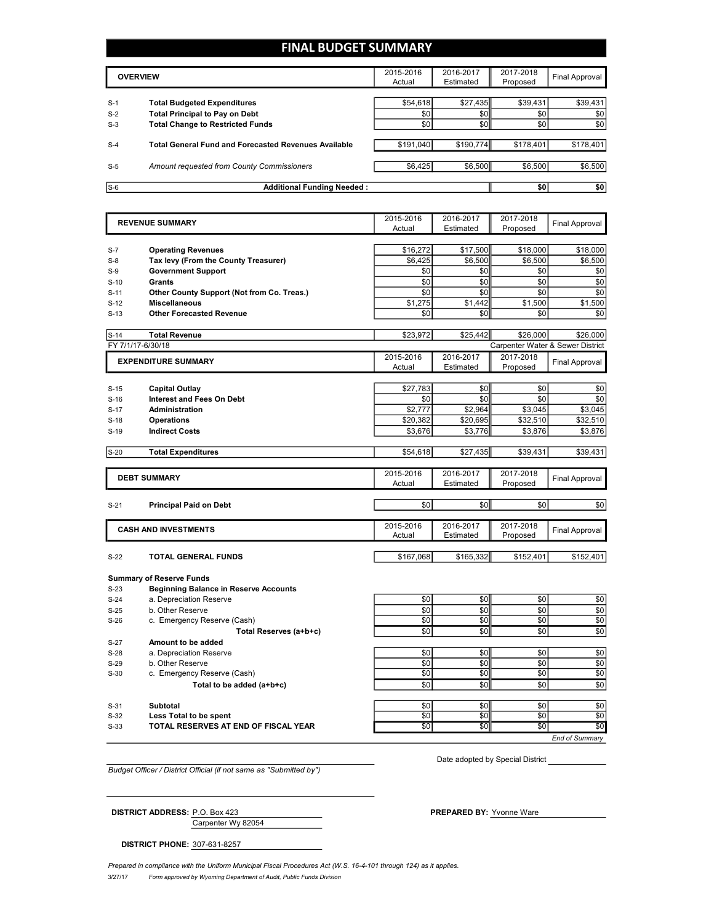# **FINAL BUDGET SUMMARY**

|       | <b>OVERVIEW</b>                                             | 2015-2016<br>Actual | 2016-2017<br>Estimated | 2017-2018<br>Proposed | Final Approval |
|-------|-------------------------------------------------------------|---------------------|------------------------|-----------------------|----------------|
|       |                                                             |                     |                        |                       |                |
| $S-1$ | <b>Total Budgeted Expenditures</b>                          | \$54,618            | \$27,435               | \$39,431              | \$39,431       |
| $S-2$ | <b>Total Principal to Pay on Debt</b>                       | \$0                 | \$0                    | \$0                   | \$0            |
| $S-3$ | <b>Total Change to Restricted Funds</b>                     | \$0                 | \$0                    | \$0                   | \$0            |
|       |                                                             |                     |                        |                       |                |
| $S-4$ | <b>Total General Fund and Forecasted Revenues Available</b> | \$191,040           | \$190.774              | \$178.401             | \$178,401      |
|       |                                                             |                     |                        |                       |                |
| $S-5$ | Amount requested from County Commissioners                  | \$6,425             | \$6,500                | \$6,500               | \$6,500        |
|       |                                                             |                     |                        |                       |                |
| $S-6$ | <b>Additional Funding Needed:</b>                           |                     |                        | \$0                   | \$0            |

|                            | <b>REVENUE SUMMARY</b>                       | 2015-2016 | 2016-2017 | 2017-2018 | <b>Final Approval</b>            |
|----------------------------|----------------------------------------------|-----------|-----------|-----------|----------------------------------|
|                            |                                              | Actual    | Estimated | Proposed  |                                  |
|                            |                                              |           |           |           |                                  |
| $S-7$                      | <b>Operating Revenues</b>                    | \$16,272  | \$17,500  | \$18,000  | \$18,000                         |
| $S-8$                      | Tax levy (From the County Treasurer)         | \$6,425   | \$6,500   | \$6,500   | \$6,500                          |
| $S-9$                      | <b>Government Support</b>                    | \$0       | \$0       | \$0       | \$0                              |
| $S-10$                     | <b>Grants</b>                                | \$0       | \$0       | \$0       | \$0                              |
| $S-11$                     | Other County Support (Not from Co. Treas.)   | \$0       | \$0       | \$0       | \$0                              |
| $S-12$                     | <b>Miscellaneous</b>                         | \$1,275   | \$1,442   | \$1,500   | \$1,500                          |
| $S-13$                     | <b>Other Forecasted Revenue</b>              | \$0       | \$0       | \$0       | \$0                              |
| $S-14$                     | <b>Total Revenue</b>                         | \$23.972  | \$25.442  | \$26,000  | \$26,000                         |
| FY 7/1/17-6/30/18          |                                              |           |           |           | Carpenter Water & Sewer District |
| <b>EXPENDITURE SUMMARY</b> |                                              | 2015-2016 | 2016-2017 | 2017-2018 |                                  |
|                            |                                              | Actual    | Estimated | Proposed  | <b>Final Approval</b>            |
|                            |                                              |           |           |           |                                  |
| $S-15$                     | <b>Capital Outlay</b>                        | \$27.783  | \$0       | \$0       | \$0                              |
| $S-16$                     | <b>Interest and Fees On Debt</b>             | \$0       | \$0       | \$0       | \$0                              |
| $S-17$                     | <b>Administration</b>                        | \$2,777   | \$2,964   | \$3,045   | \$3,045                          |
| $S-18$                     | <b>Operations</b>                            | \$20,382  | \$20,695  | \$32,510  | \$32,510                         |
| $S-19$                     | <b>Indirect Costs</b>                        | \$3,676   | \$3,776   | \$3,876   | \$3,876                          |
|                            |                                              |           |           |           |                                  |
| $S-20$                     | <b>Total Expenditures</b>                    | \$54,618  | \$27,435  | \$39,431  | \$39,431                         |
|                            |                                              | 2015-2016 | 2016-2017 | 2017-2018 |                                  |
|                            | <b>DEBT SUMMARY</b>                          | Actual    | Estimated | Proposed  | <b>Final Approval</b>            |
|                            |                                              |           |           |           |                                  |
| $S-21$                     | <b>Principal Paid on Debt</b>                | \$0       | \$0       | \$0       | \$0                              |
|                            |                                              | 2015-2016 | 2016-2017 | 2017-2018 |                                  |
|                            | <b>CASH AND INVESTMENTS</b>                  | Actual    | Estimated | Proposed  | <b>Final Approval</b>            |
|                            |                                              |           |           |           |                                  |
| $S-22$                     | TOTAL GENERAL FUNDS                          | \$167,068 | \$165,332 | \$152,401 | \$152,401                        |
|                            | <b>Summary of Reserve Funds</b>              |           |           |           |                                  |
| $S-23$                     | <b>Beginning Balance in Reserve Accounts</b> |           |           |           |                                  |
| $S-24$                     | a. Depreciation Reserve                      | \$0       | \$0       | \$0       | \$0                              |
| $S-25$                     | b. Other Reserve                             | \$0       | \$0       | \$0       | \$0                              |
| $S-26$                     | c. Emergency Reserve (Cash)                  | \$0       | \$0       | \$0       | \$0                              |
|                            | Total Reserves (a+b+c)                       | \$0       | \$0       | \$0       | \$0                              |
| $S-27$                     | Amount to be added                           |           |           |           |                                  |
| $S-28$                     | a. Depreciation Reserve                      | \$0       | \$0       | \$0       | \$0                              |
| $S-29$                     | b. Other Reserve                             | \$0       | \$0       | \$0       | \$0                              |
| $S-30$                     | c. Emergency Reserve (Cash)                  | \$0       | \$0       | \$0       | \$0                              |
|                            | Total to be added (a+b+c)                    | \$0       | \$0       | \$0       | \$0                              |
|                            |                                              |           |           |           |                                  |
|                            |                                              |           |           |           | \$0                              |
| $S-31$                     | <b>Subtotal</b>                              | \$0       | \$0       | \$0       |                                  |
| $S-32$                     | Less Total to be spent                       | \$0       | \$0       | \$0       | \$0                              |
| $S-33$                     | TOTAL RESERVES AT END OF FISCAL YEAR         | \$0       | \$0       | \$0       | \$0                              |

*Budget Officer / District Official (if not same as "Submitted by")*

Date adopted by Special District

Carpenter Wy 82054 **DISTRICT ADDRESS:** P.O. Box 423 **PREPARED BY:** Yvonne Ware

**DISTRICT PHONE:** 307-631-8257

3/27/17 *Form approved by Wyoming Department of Audit, Public Funds Division* Prepared in compliance with the Uniform Municipal Fiscal Procedures Act (W.S. 16-4-101 through 124) as it applies.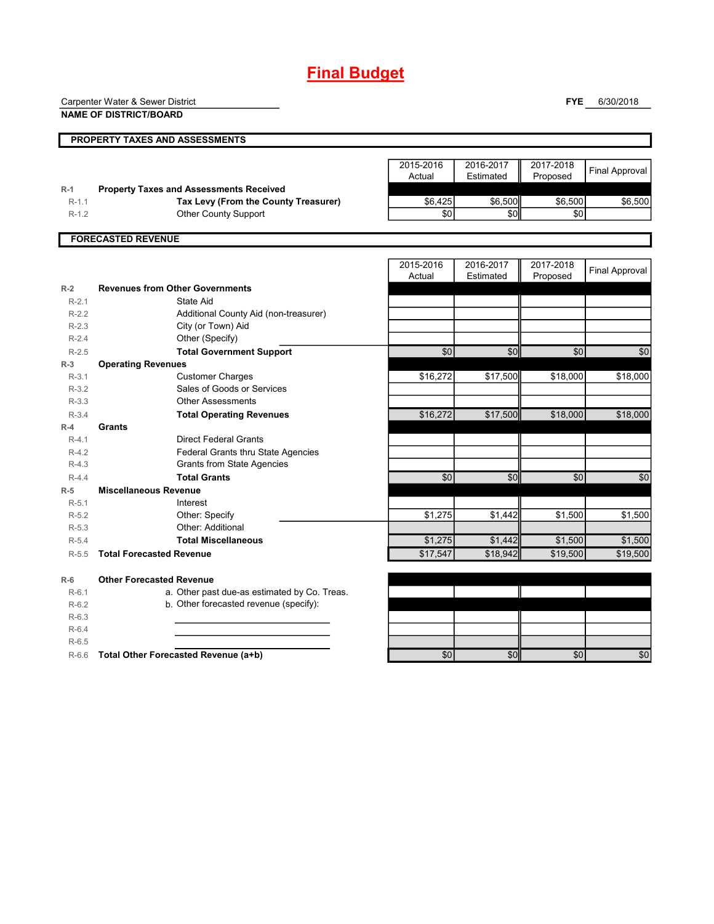# **Final Budget**

Carpenter Water & Sewer District

**NAME OF DISTRICT/BOARD**

**FYE** 6/30/2018

|                              | PROPERTY TAXES AND ASSESSMENTS                 |                     |                        |                       |                       |
|------------------------------|------------------------------------------------|---------------------|------------------------|-----------------------|-----------------------|
|                              |                                                | 2015-2016<br>Actual | 2016-2017<br>Estimated | 2017-2018<br>Proposed | <b>Final Approval</b> |
| $R-1$                        | <b>Property Taxes and Assessments Received</b> |                     |                        |                       |                       |
| $R-1.1$                      | Tax Levy (From the County Treasurer)           | \$6,425             | \$6,500                | \$6,500               | \$6,500               |
| $R-1.2$                      | Other County Support                           | \$0                 | \$0                    | \$0                   |                       |
|                              | <b>FORECASTED REVENUE</b>                      |                     |                        |                       |                       |
|                              |                                                | 2015-2016           | 2016-2017              | 2017-2018             | <b>Final Approval</b> |
|                              |                                                | Actual              | Estimated              | Proposed              |                       |
| $R-2$                        | <b>Revenues from Other Governments</b>         |                     |                        |                       |                       |
| $R-2.1$                      | State Aid                                      |                     |                        |                       |                       |
| $R-2.2$                      | Additional County Aid (non-treasurer)          |                     |                        |                       |                       |
| $R-2.3$                      | City (or Town) Aid                             |                     |                        |                       |                       |
| $R-2.4$                      | Other (Specify)                                |                     |                        |                       |                       |
| $R-2.5$                      | <b>Total Government Support</b>                | $\overline{30}$     | \$0                    | \$0                   | \$0                   |
| $R-3$                        | <b>Operating Revenues</b>                      |                     |                        |                       |                       |
| $R-3.1$                      | <b>Customer Charges</b>                        | \$16,272            | \$17,500               | \$18,000              | \$18,000              |
| $R-3.2$                      | Sales of Goods or Services                     |                     |                        |                       |                       |
| $R-3.3$                      | <b>Other Assessments</b>                       |                     |                        |                       |                       |
| $R - 3.4$<br>Grants<br>$R-4$ | <b>Total Operating Revenues</b>                | \$16,272            | \$17,500               | \$18,000              | \$18,000              |
| $R-4.1$                      | <b>Direct Federal Grants</b>                   |                     |                        |                       |                       |
| $R-4.2$                      | <b>Federal Grants thru State Agencies</b>      |                     |                        |                       |                       |
| $R-4.3$                      | <b>Grants from State Agencies</b>              |                     |                        |                       |                       |
| $R-4.4$                      | <b>Total Grants</b>                            | $\overline{30}$     | \$0                    | \$0                   | \$0                   |
| $R-5$                        | <b>Miscellaneous Revenue</b>                   |                     |                        |                       |                       |
| $R-5.1$                      | Interest                                       |                     |                        |                       |                       |
| $R-5.2$                      | Other: Specify                                 | \$1,275             | \$1,442                | \$1,500               | \$1,500               |
| $R-5.3$                      | Other: Additional                              |                     |                        |                       |                       |
| $R-5.4$                      | <b>Total Miscellaneous</b>                     | \$1,275             | \$1,442                | \$1,500               | \$1,500               |
| $R-5.5$                      | <b>Total Forecasted Revenue</b>                | \$17,547            | \$18,942               | \$19,500              | \$19,500              |

**R-6 Other Forecasted Revenue** R-6.1 a. Other past due-as estimated by Co. Treas. R-6.2 b. Other forecasted revenue (specify):

R-6.3

R-6.4 R-6.5

R-6.6 **Total Other Forecasted Revenue (a+b)** \$0 \$0 \$0 \$0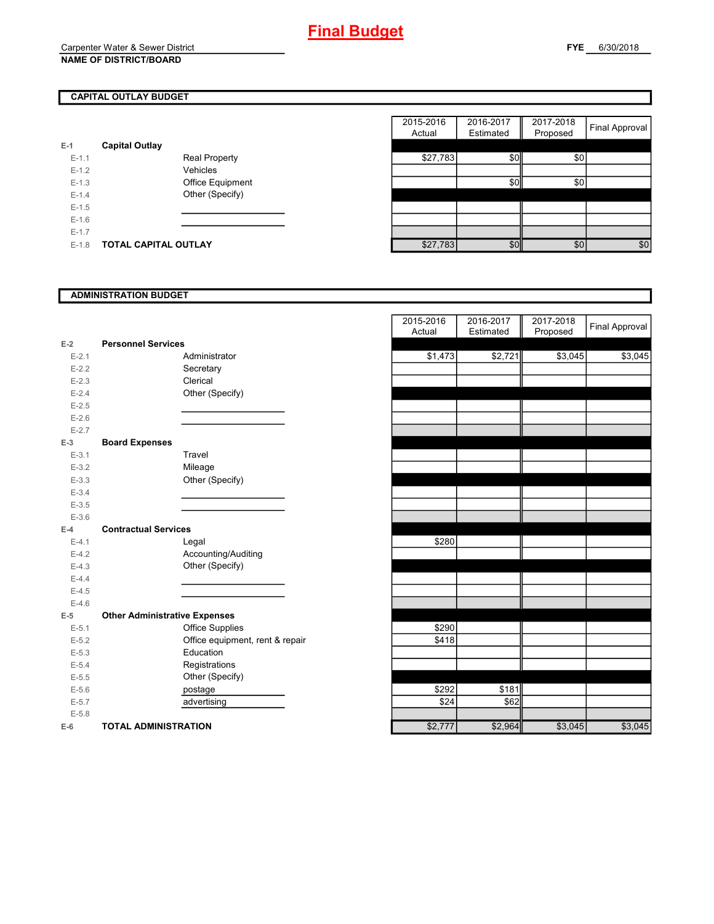# **CAPITAL OUTLAY BUDGET**

| E-1       | <b>Capital Outlay</b> |                         |
|-----------|-----------------------|-------------------------|
| $E - 1.1$ |                       | <b>Real Property</b>    |
| $F-12$    |                       | Vehicles                |
| $F-1.3$   |                       | <b>Office Equipment</b> |
| $F-14$    |                       | Other (Specify)         |
| $F-1.5$   |                       |                         |
| $F-16$    |                       |                         |
| $E - 1.7$ |                       |                         |
| E-1.8     | TOTAL CAPITAL OUTLAY  |                         |

|         |                             |                      | 2015-2016 | 2016-2017 | 2017-2018 |                       |
|---------|-----------------------------|----------------------|-----------|-----------|-----------|-----------------------|
|         |                             |                      | Actual    | Estimated | Proposed  | <b>Final Approval</b> |
|         | <b>Capital Outlay</b>       |                      |           |           |           |                       |
| $E-1.1$ |                             | <b>Real Property</b> | \$27,783  | \$0       | \$0       |                       |
| $E-1.2$ |                             | Vehicles             |           |           |           |                       |
| $E-1.3$ |                             | Office Equipment     |           | \$0       | \$0       |                       |
| $E-1.4$ |                             | Other (Specify)      |           |           |           |                       |
| $E-1.5$ |                             |                      |           |           |           |                       |
| $E-1.6$ |                             |                      |           |           |           |                       |
| $E-1.7$ |                             |                      |           |           |           |                       |
| $E-1.8$ | <b>TOTAL CAPITAL OUTLAY</b> |                      | \$27,783  | \$0       | \$0       | \$0                   |

### **ADMINISTRATION BUDGET**

|           |                                      |                                 | Actual  | Estimated |
|-----------|--------------------------------------|---------------------------------|---------|-----------|
| $E-2$     | <b>Personnel Services</b>            |                                 |         |           |
| $E - 2.1$ |                                      | Administrator                   | \$1,473 | \$2,721   |
| $E - 2.2$ |                                      | Secretary                       |         |           |
| $E - 2.3$ |                                      | Clerical                        |         |           |
| $E-2.4$   |                                      | Other (Specify)                 |         |           |
| $E - 2.5$ |                                      |                                 |         |           |
| $E-2.6$   |                                      |                                 |         |           |
| $E - 2.7$ |                                      |                                 |         |           |
| $E-3$     | <b>Board Expenses</b>                |                                 |         |           |
| $E - 3.1$ |                                      | Travel                          |         |           |
| $E - 3.2$ |                                      | Mileage                         |         |           |
| $E - 3.3$ |                                      | Other (Specify)                 |         |           |
| $E - 3.4$ |                                      |                                 |         |           |
| $E - 3.5$ |                                      |                                 |         |           |
| $E - 3.6$ |                                      |                                 |         |           |
| $E-4$     | <b>Contractual Services</b>          |                                 |         |           |
| $E - 4.1$ |                                      | Legal                           | \$280   |           |
| $E-4.2$   |                                      | Accounting/Auditing             |         |           |
| $E-4.3$   |                                      | Other (Specify)                 |         |           |
| $E - 4.4$ |                                      |                                 |         |           |
| $E-4.5$   |                                      |                                 |         |           |
| $E-4.6$   |                                      |                                 |         |           |
| $E-5$     | <b>Other Administrative Expenses</b> |                                 |         |           |
| $E - 5.1$ |                                      | <b>Office Supplies</b>          | \$290   |           |
| $E-5.2$   |                                      | Office equipment, rent & repair | \$418   |           |
| $E - 5.3$ |                                      | Education                       |         |           |
| $E - 5.4$ |                                      | Registrations                   |         |           |
| $E - 5.5$ |                                      | Other (Specify)                 |         |           |
| $E - 5.6$ |                                      | postage                         | \$292   | \$181     |
| $E - 5.7$ |                                      | advertising                     | \$24    | \$62      |
| $E - 5.8$ |                                      |                                 |         |           |
| $E-6$     | <b>TOTAL ADMINISTRATION</b>          |                                 | \$2,777 | \$2,964   |

| <b>Personnel Services</b><br>Ż<br>\$3,045<br>\$2,721<br>\$1,473<br>Administrator<br>Secretary<br>Clerical<br>Other (Specify)<br><b>Board Expenses</b><br>Travel<br>Mileage<br>Other (Specify) |         |
|-----------------------------------------------------------------------------------------------------------------------------------------------------------------------------------------------|---------|
| $E - 2.1$<br>$E - 2.2$<br>$E-2.3$<br>$E - 2.4$<br>$E - 2.5$<br>$E - 2.6$<br>$E - 2.7$<br>$\overline{\phantom{a}}$                                                                             |         |
|                                                                                                                                                                                               | \$3,045 |
|                                                                                                                                                                                               |         |
|                                                                                                                                                                                               |         |
|                                                                                                                                                                                               |         |
|                                                                                                                                                                                               |         |
|                                                                                                                                                                                               |         |
|                                                                                                                                                                                               |         |
| $E-3.1$<br>$E-3.2$<br>$E - 3.3$<br>$E - 3.4$<br>$E-3.5$<br>$E - 3.6$                                                                                                                          |         |
|                                                                                                                                                                                               |         |
|                                                                                                                                                                                               |         |
|                                                                                                                                                                                               |         |
|                                                                                                                                                                                               |         |
|                                                                                                                                                                                               |         |
|                                                                                                                                                                                               |         |
| Ļ.<br><b>Contractual Services</b>                                                                                                                                                             |         |
| \$280<br>$E - 4.1$<br>Legal                                                                                                                                                                   |         |
| $E - 4.2$<br>Accounting/Auditing                                                                                                                                                              |         |
| Other (Specify)<br>$E - 4.3$                                                                                                                                                                  |         |
| $E - 4.4$                                                                                                                                                                                     |         |
| $E - 4.5$                                                                                                                                                                                     |         |
| $E - 4.6$                                                                                                                                                                                     |         |
| <b>Other Administrative Expenses</b><br>5                                                                                                                                                     |         |
| \$290<br><b>Office Supplies</b><br>$E - 5.1$                                                                                                                                                  |         |
| Office equipment, rent & repair<br>\$418<br>$E - 5.2$                                                                                                                                         |         |
| Education<br>$E - 5.3$                                                                                                                                                                        |         |
| $E - 5.4$<br>Registrations                                                                                                                                                                    |         |
| Other (Specify)<br>$E - 5.5$                                                                                                                                                                  |         |
| \$292<br>\$181<br>$E - 5.6$<br>postage                                                                                                                                                        |         |
| \$24<br>$E - 5.7$<br>\$62<br>advertising                                                                                                                                                      |         |
| $E - 5.8$                                                                                                                                                                                     |         |
| \$3,045<br>\$2,777<br>\$2,964<br>ŝ<br><b>TOTAL ADMINISTRATION</b>                                                                                                                             | \$3,045 |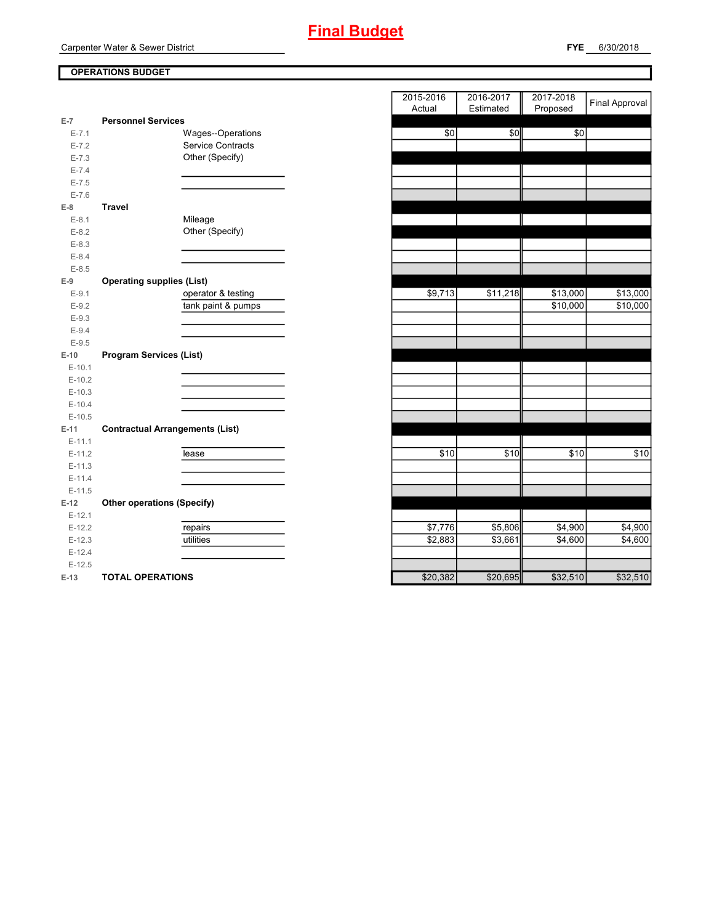# **OPERATIONS BUDGET**

| $E-7$     | <b>Personnel Services</b>              |                          |
|-----------|----------------------------------------|--------------------------|
| $E - 7.1$ |                                        | Wages--Operations        |
| $E - 7.2$ |                                        | <b>Service Contracts</b> |
| $E - 7.3$ |                                        | Other (Specify)          |
| $E - 7.4$ |                                        |                          |
| $E - 7.5$ |                                        |                          |
| $E - 7.6$ |                                        |                          |
| $E-8$     | <b>Travel</b>                          |                          |
| $E-8.1$   |                                        | Mileage                  |
| $E-8.2$   |                                        | Other (Specify)          |
| $E-8.3$   |                                        |                          |
| $E - 8.4$ |                                        |                          |
| $E-8.5$   |                                        |                          |
| $E-9$     | <b>Operating supplies (List)</b>       |                          |
| $E-9.1$   |                                        | operator & testing       |
| $E-9.2$   |                                        | tank paint & pumps       |
| $E-9.3$   |                                        |                          |
| $E-9.4$   |                                        |                          |
| $E-9.5$   |                                        |                          |
| $E-10$    | <b>Program Services (List)</b>         |                          |
| $E-10.1$  |                                        |                          |
| $E-10.2$  |                                        |                          |
| $E-10.3$  |                                        |                          |
| $E-10.4$  |                                        |                          |
| $E-10.5$  |                                        |                          |
| $E-11$    | <b>Contractual Arrangements (List)</b> |                          |
| $E-11.1$  |                                        |                          |
| $E-11.2$  |                                        | lease                    |
| $E-11.3$  |                                        |                          |
| $E-11.4$  |                                        |                          |
| $E-11.5$  |                                        |                          |
| $E-12$    | <b>Other operations (Specify)</b>      |                          |
| $E-12.1$  |                                        |                          |
| $E-12.2$  |                                        | repairs                  |
| $E-12.3$  |                                        | utilities                |
| $E-12.4$  |                                        |                          |
| $E-12.5$  |                                        |                          |
| $E-13$    | <b>TOTAL OPERATIONS</b>                |                          |

|                 |                                        | 2015-2016 | 2016-2017 | 2017-2018 | <b>Final Approval</b> |
|-----------------|----------------------------------------|-----------|-----------|-----------|-----------------------|
|                 |                                        | Actual    | Estimated | Proposed  |                       |
| 7               | <b>Personnel Services</b>              |           |           |           |                       |
| $E - 7.1$       | Wages--Operations                      | \$0       | \$0       | \$0       |                       |
| $E - 7.2$       | Service Contracts                      |           |           |           |                       |
| $E - 7.3$       | Other (Specify)                        |           |           |           |                       |
| $E - 7.4$       |                                        |           |           |           |                       |
| $E - 7.5$       |                                        |           |           |           |                       |
| $E - 7.6$       |                                        |           |           |           |                       |
| 8               | <b>Travel</b>                          |           |           |           |                       |
| $E-8.1$         | Mileage                                |           |           |           |                       |
| $E-8.2$         | Other (Specify)                        |           |           |           |                       |
| $E - 8.3$       |                                        |           |           |           |                       |
| $E - 8.4$       |                                        |           |           |           |                       |
| $E-8.5$         |                                        |           |           |           |                       |
| 9               | <b>Operating supplies (List)</b>       |           |           |           |                       |
| $E-9.1$         | operator & testing                     | \$9,713   | \$11,218  | \$13,000  | \$13,000              |
| $E-9.2$         | tank paint & pumps                     |           |           | \$10,000  | \$10,000              |
| $E-9.3$         |                                        |           |           |           |                       |
| $E-9.4$         |                                        |           |           |           |                       |
| $E-9.5$         |                                        |           |           |           |                       |
| 10              | <b>Program Services (List)</b>         |           |           |           |                       |
| $E-10.1$        |                                        |           |           |           |                       |
| $E-10.2$        |                                        |           |           |           |                       |
| $E-10.3$        |                                        |           |           |           |                       |
| $E-10.4$        |                                        |           |           |           |                       |
| $E-10.5$        |                                        |           |           |           |                       |
| $11 -$          | <b>Contractual Arrangements (List)</b> |           |           |           |                       |
| $E-11.1$        |                                        |           |           |           |                       |
| $E-11.2$        | lease                                  | \$10      | \$10      | \$10      | \$10                  |
| $E-11.3$        |                                        |           |           |           |                       |
| $E-11.4$        |                                        |           |           |           |                       |
| $E-11.5$        |                                        |           |           |           |                       |
| 12              | <b>Other operations (Specify)</b>      |           |           |           |                       |
| $E-12.1$        |                                        |           |           |           |                       |
| $E-12.2$        | repairs                                | \$7,776   | \$5,806   | \$4,900   | \$4,900               |
| $E-12.3$        | utilities                              | \$2,883   | \$3,661   | \$4,600   | \$4,600               |
| $E-12.4$        |                                        |           |           |           |                       |
| $E-12.5$        |                                        |           |           |           |                       |
| 40 <sup>2</sup> | TOTAL ODEDATIONS                       | മാറ ാഠി   | 000005    | 022511    | 022510                |

### **FYE** 6/30/2018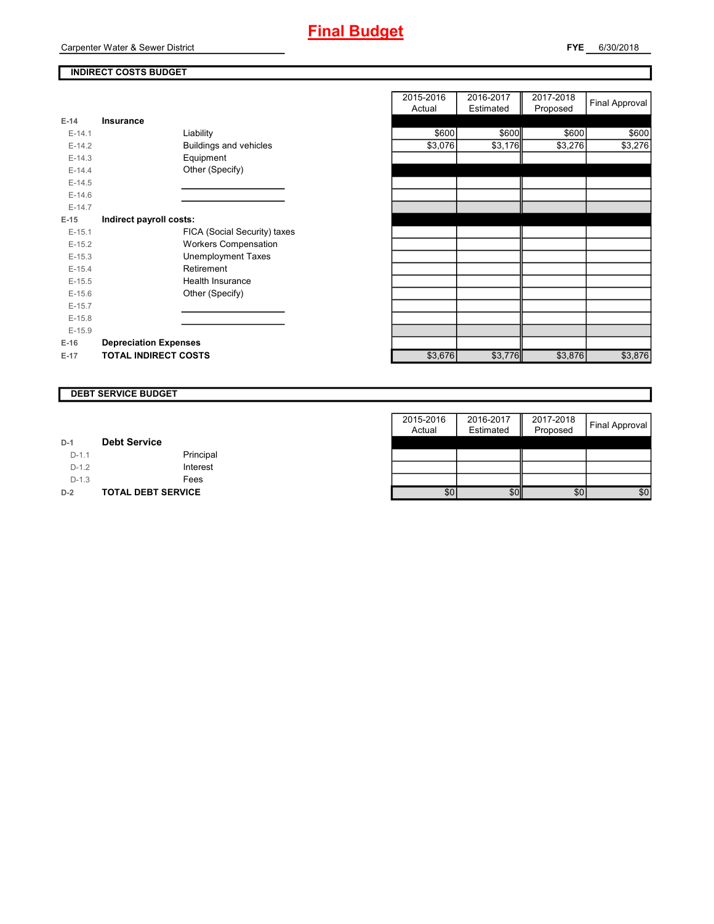# **INDIRECT COSTS BUDGET**

| E-14     | Insurance                     |
|----------|-------------------------------|
| $E-14.1$ | Liability                     |
| $E-14.2$ | <b>Buildings and vehicles</b> |
| $F-14.3$ | Equipment                     |
| $F-144$  | Other (Specify)               |
| $E-14.5$ |                               |
| $F-146$  |                               |
| $F-147$  |                               |
| $E-15$   | Indirect payroll costs:       |
| $F-151$  | FICA (Social Security) taxes  |
| $E-15.2$ | <b>Workers Compensation</b>   |
| $E-15.3$ | Unemployment Taxes            |
| $F-154$  | Retirement                    |
| $E-15.5$ | Health Insurance              |
| $F-156$  | Other (Specify)               |
| $E-15.7$ |                               |
| $E-15.8$ |                               |
| $E-15.9$ |                               |
| $E-16$   | <b>Depreciation Expenses</b>  |
| E-17     | <b>TOTAL INDIRECT COSTS</b>   |

|                              | 2015-2016<br>Actual | 2016-2017<br>Estimated | 2017-2018<br>Proposed | <b>Final Approval</b> |
|------------------------------|---------------------|------------------------|-----------------------|-----------------------|
| <b>Insurance</b>             |                     |                        |                       |                       |
| Liability                    | \$600               | \$600                  | \$600                 | \$600                 |
| Buildings and vehicles       | \$3,076             |                        | \$3,276               | \$3,276               |
| Equipment                    |                     |                        |                       |                       |
| Other (Specify)              |                     |                        |                       |                       |
|                              |                     |                        |                       |                       |
|                              |                     |                        |                       |                       |
|                              |                     |                        |                       |                       |
| Indirect payroll costs:      |                     |                        |                       |                       |
| FICA (Social Security) taxes |                     |                        |                       |                       |
| <b>Workers Compensation</b>  |                     |                        |                       |                       |
| <b>Unemployment Taxes</b>    |                     |                        |                       |                       |
| Retirement                   |                     |                        |                       |                       |
| Health Insurance             |                     |                        |                       |                       |
| Other (Specify)              |                     |                        |                       |                       |
|                              |                     |                        |                       |                       |
|                              |                     |                        |                       |                       |
|                              |                     |                        |                       |                       |
| <b>Depreciation Expenses</b> |                     |                        |                       |                       |
| <b>TOTAL INDIRECT COSTS</b>  | \$3,676             |                        | \$3,876               | \$3,876               |
|                              |                     |                        |                       | \$3,176<br>\$3,776    |

#### **DEBT SERVICE BUDGET**

|         |                           | 2015-2016 | 2016-2017 | 2017-2018 |                |
|---------|---------------------------|-----------|-----------|-----------|----------------|
|         |                           | Actual    | Estimated | Proposed  | Final Approval |
| $D-1$   | <b>Debt Service</b>       |           |           |           |                |
| $D-1.1$ | Principal                 |           |           |           |                |
| $D-1.2$ | Interest                  |           |           |           |                |
| $D-1.3$ | Fees                      |           |           |           |                |
| $D-2$   | <b>TOTAL DEBT SERVICE</b> | \$0       | \$0       | \$0       | \$0            |